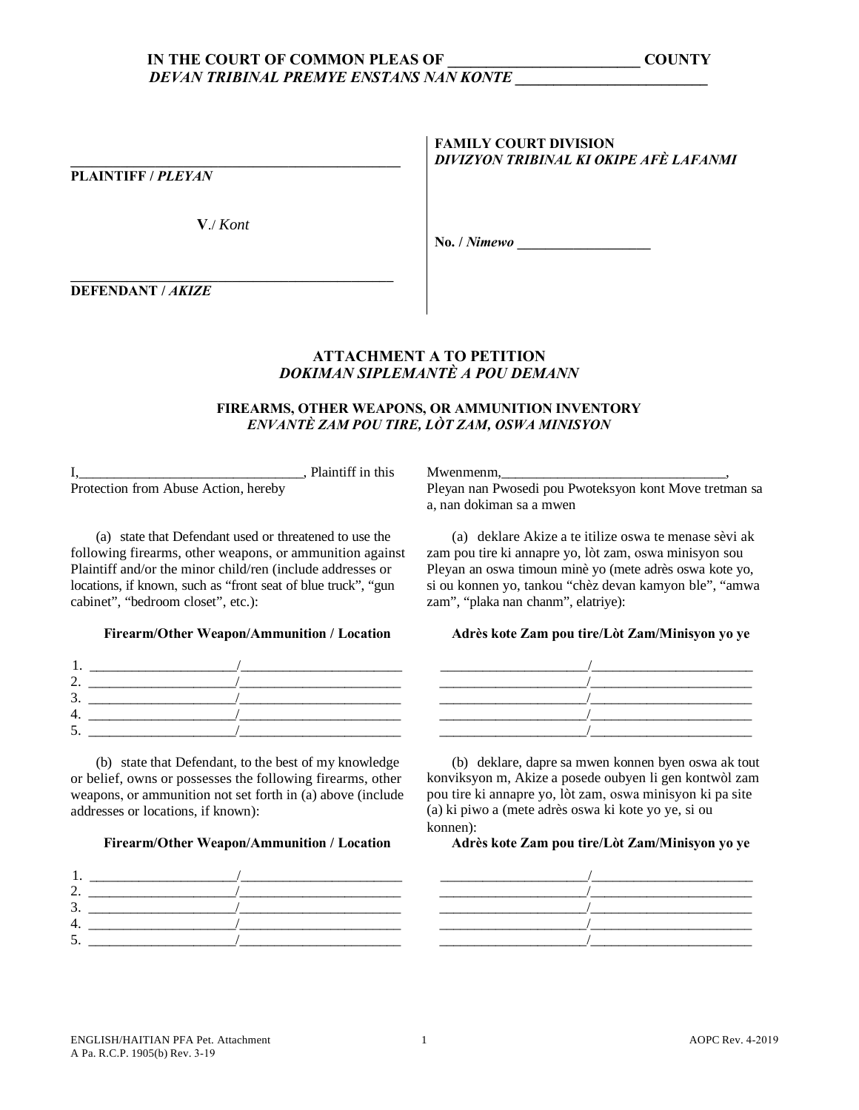# IN THE COURT OF COMMON PLEAS OF DEVAN TRIBINAL PREMYE ENSTANS NAN KONTE

**PLAINTIFF / PLEYAN** 

 $V/Kont$ 

**FAMILY COURT DIVISION** DIVIZYON TRIBINAL KI OKIPE AFÈ LAFANMI

No. / Nimewo

**DEFENDANT / AKIZE** 

# **ATTACHMENT A TO PETITION DOKIMAN SIPLEMANTÈ A POU DEMANN**

## FIREARMS, OTHER WEAPONS, OR AMMUNITION INVENTORY ENVANTÈ ZAM POU TIRE, LÒT ZAM, OSWA MINISYON

I, Plaintiff in this<br>Protection from Abuse Action, hereby

(a) state that Defendant used or threatened to use the following firearms, other weapons, or ammunition against Plaintiff and/or the minor child/ren (include addresses or locations, if known, such as "front seat of blue truck", "gun cabinet", "bedroom closet", etc.):

#### Firearm/Other Weapon/Ammunition / Location

(b) state that Defendant, to the best of my knowledge or belief, owns or possesses the following firearms, other weapons, or ammunition not set forth in (a) above (include addresses or locations, if known):

## Firearm/Other Weapon/Ammunition / Location



Mwenmenm,

Pleyan nan Pwosedi pou Pwoteksyon kont Move tretman sa a, nan dokiman sa a mwen

(a) deklare Akize a te itilize oswa te menase sèvi ak zam pou tire ki annapre yo, lòt zam, oswa minisyon sou Pleyan an oswa timoun minè yo (mete adrès oswa kote yo, si ou konnen yo, tankou "chèz devan kamyon ble", "amwa zam", "plaka nan chanm", elatriye):

## Adrès kote Zam pou tire/Lòt Zam/Minisvon vo ve



(b) deklare, dapre sa mwen konnen byen oswa ak tout konviksyon m, Akize a posede oubyen li gen kontwòl zam pou tire ki annapre yo, lòt zam, oswa minisyon ki pa site (a) ki piwo a (mete adrès oswa ki kote yo ye, si ou konnen):

## Adrès kote Zam pou tire/Lòt Zam/Minisyon yo ye